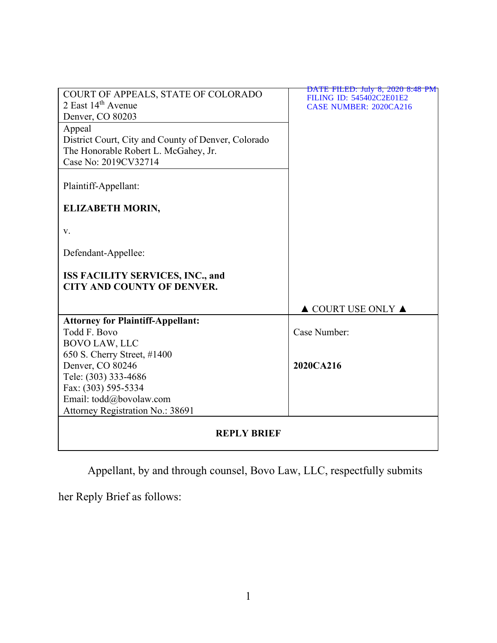| COURT OF APPEALS, STATE OF COLORADO                                          | DATE FILED: July 8, 2020 8:48 PM<br>FILING ID: 545402C2E01E2 |
|------------------------------------------------------------------------------|--------------------------------------------------------------|
| 2 East 14th Avenue                                                           | <b>CASE NUMBER: 2020CA216</b>                                |
| Denver, CO 80203                                                             |                                                              |
| Appeal                                                                       |                                                              |
| District Court, City and County of Denver, Colorado                          |                                                              |
| The Honorable Robert L. McGahey, Jr.                                         |                                                              |
| Case No: 2019CV32714                                                         |                                                              |
|                                                                              |                                                              |
| Plaintiff-Appellant:                                                         |                                                              |
|                                                                              |                                                              |
| <b>ELIZABETH MORIN,</b>                                                      |                                                              |
|                                                                              |                                                              |
| v.                                                                           |                                                              |
| Defendant-Appellee:                                                          |                                                              |
|                                                                              |                                                              |
| <b>ISS FACILITY SERVICES, INC., and</b><br><b>CITY AND COUNTY OF DENVER.</b> |                                                              |
|                                                                              |                                                              |
|                                                                              | $\triangle$ COURT USE ONLY $\triangle$                       |
| <b>Attorney for Plaintiff-Appellant:</b>                                     |                                                              |
| Todd F. Bovo                                                                 | Case Number:                                                 |
| <b>BOVO LAW, LLC</b>                                                         |                                                              |
| 650 S. Cherry Street, #1400                                                  |                                                              |
| Denver, CO 80246                                                             | 2020CA216                                                    |
| Tele: (303) 333-4686                                                         |                                                              |
| Fax: (303) 595-5334                                                          |                                                              |
| Email: todd@bovolaw.com                                                      |                                                              |
| Attorney Registration No.: 38691                                             |                                                              |
| <b>REPLY BRIEF</b>                                                           |                                                              |

Appellant, by and through counsel, Bovo Law, LLC, respectfully submits

her Reply Brief as follows: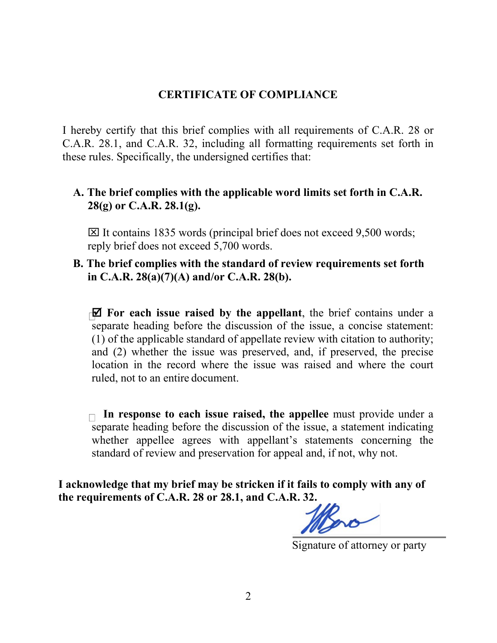### **CERTIFICATE OF COMPLIANCE**

I hereby certify that this brief complies with all requirements of C.A.R. 28 or C.A.R. 28.1, and C.A.R. 32, including all formatting requirements set forth in these rules. Specifically, the undersigned certifies that:

## **A. The brief complies with the applicable word limits set forth in C.A.R. 28(g) or C.A.R. 28.1(g).**

 $\boxtimes$  It contains 1835 words (principal brief does not exceed 9,500 words; reply brief does not exceed 5,700 words.

## **B. The brief complies with the standard of review requirements set forth in C.A.R. 28(a)(7)(A) and/or C.A.R. 28(b).**

 **For each issue raised by the appellant**, the brief contains under a separate heading before the discussion of the issue, a concise statement: (1) of the applicable standard of appellate review with citation to authority; and (2) whether the issue was preserved, and, if preserved, the precise location in the record where the issue was raised and where the court ruled, not to an entire document.

**In response to each issue raised, the appellee** must provide under a separate heading before the discussion of the issue, a statement indicating whether appellee agrees with appellant's statements concerning the standard of review and preservation for appeal and, if not, why not.

**I acknowledge that my brief may be stricken if it fails to comply with any of the requirements of C.A.R. 28 or 28.1, and C.A.R. 32.**

Signature of attorney or party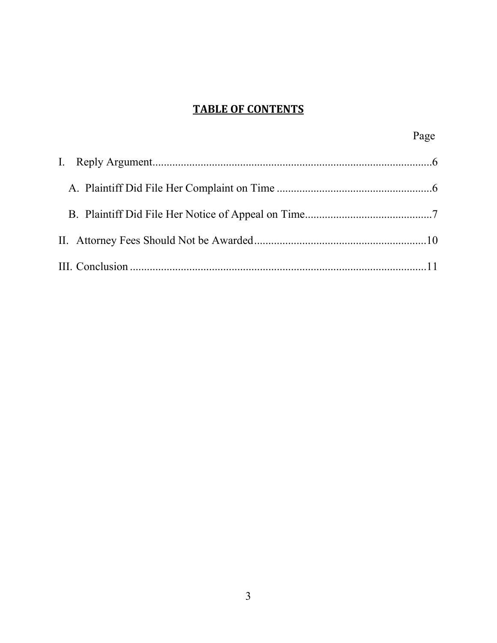# **TABLE OF CONTENTS**

| Page |
|------|
|      |
|      |
|      |
|      |
|      |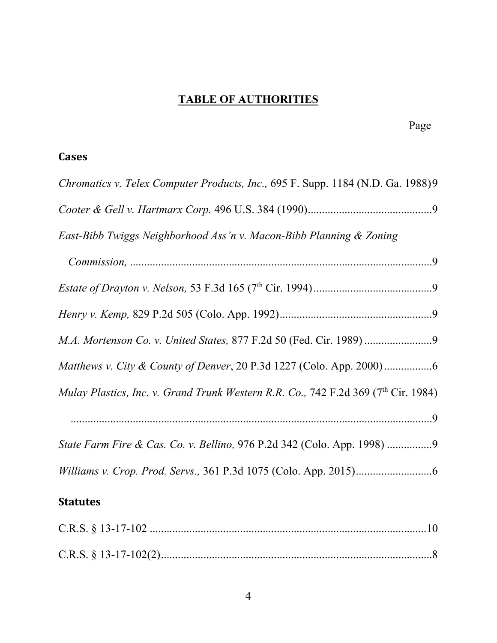# **TABLE OF AUTHORITIES**

# **Cases**

| Chromatics v. Telex Computer Products, Inc., 695 F. Supp. 1184 (N.D. Ga. 1988)9                |
|------------------------------------------------------------------------------------------------|
|                                                                                                |
| East-Bibb Twiggs Neighborhood Ass'n v. Macon-Bibb Planning & Zoning                            |
|                                                                                                |
|                                                                                                |
|                                                                                                |
|                                                                                                |
|                                                                                                |
| Mulay Plastics, Inc. v. Grand Trunk Western R.R. Co., 742 F.2d 369 (7 <sup>th</sup> Cir. 1984) |
|                                                                                                |
| State Farm Fire & Cas. Co. v. Bellino, 976 P.2d 342 (Colo. App. 1998)                          |
|                                                                                                |
|                                                                                                |

# **Statutes**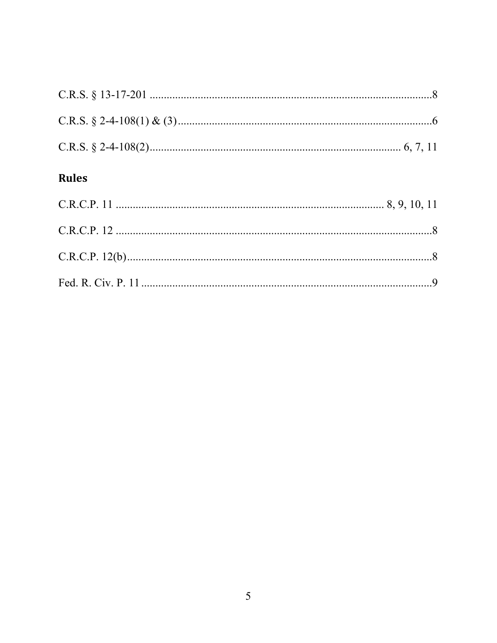# Rules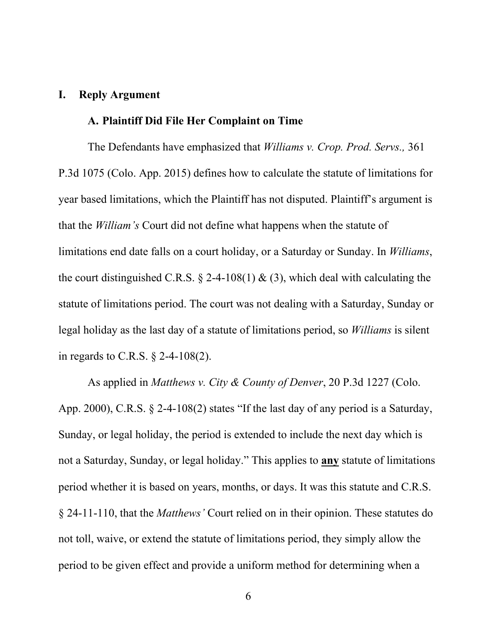### **I. Reply Argument**

#### **A. Plaintiff Did File Her Complaint on Time**

The Defendants have emphasized that *Williams v. Crop. Prod. Servs.,* 361 P.3d 1075 (Colo. App. 2015) defines how to calculate the statute of limitations for year based limitations, which the Plaintiff has not disputed. Plaintiff's argument is that the *William's* Court did not define what happens when the statute of limitations end date falls on a court holiday, or a Saturday or Sunday. In *Williams*, the court distinguished C.R.S.  $\S$  2-4-108(1) & (3), which deal with calculating the statute of limitations period. The court was not dealing with a Saturday, Sunday or legal holiday as the last day of a statute of limitations period, so *Williams* is silent in regards to C.R.S. § 2-4-108(2).

As applied in *Matthews v. City & County of Denver*, 20 P.3d 1227 (Colo. App. 2000), C.R.S. § 2-4-108(2) states "If the last day of any period is a Saturday, Sunday, or legal holiday, the period is extended to include the next day which is not a Saturday, Sunday, or legal holiday." This applies to **any** statute of limitations period whether it is based on years, months, or days. It was this statute and C.R.S. § 24-11-110, that the *Matthews'* Court relied on in their opinion. These statutes do not toll, waive, or extend the statute of limitations period, they simply allow the period to be given effect and provide a uniform method for determining when a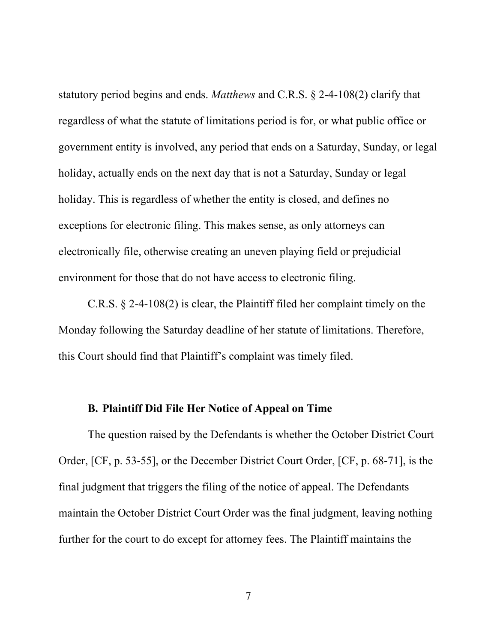statutory period begins and ends. *Matthews* and C.R.S. § 2-4-108(2) clarify that regardless of what the statute of limitations period is for, or what public office or government entity is involved, any period that ends on a Saturday, Sunday, or legal holiday, actually ends on the next day that is not a Saturday, Sunday or legal holiday. This is regardless of whether the entity is closed, and defines no exceptions for electronic filing. This makes sense, as only attorneys can electronically file, otherwise creating an uneven playing field or prejudicial environment for those that do not have access to electronic filing.

C.R.S. § 2-4-108(2) is clear, the Plaintiff filed her complaint timely on the Monday following the Saturday deadline of her statute of limitations. Therefore, this Court should find that Plaintiff's complaint was timely filed.

### **B. Plaintiff Did File Her Notice of Appeal on Time**

The question raised by the Defendants is whether the October District Court Order, [CF, p. 53-55], or the December District Court Order, [CF, p. 68-71], is the final judgment that triggers the filing of the notice of appeal. The Defendants maintain the October District Court Order was the final judgment, leaving nothing further for the court to do except for attorney fees. The Plaintiff maintains the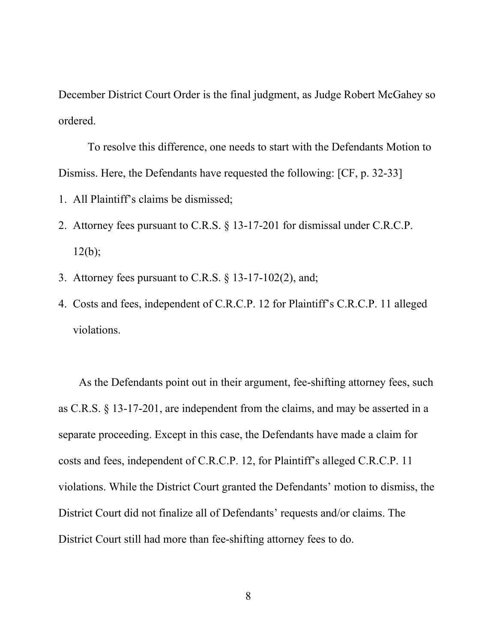December District Court Order is the final judgment, as Judge Robert McGahey so ordered.

To resolve this difference, one needs to start with the Defendants Motion to Dismiss. Here, the Defendants have requested the following: [CF, p. 32-33]

- 1. All Plaintiff's claims be dismissed;
- 2. Attorney fees pursuant to C.R.S. § 13-17-201 for dismissal under C.R.C.P.  $12(b);$
- 3. Attorney fees pursuant to C.R.S. § 13-17-102(2), and;
- 4. Costs and fees, independent of C.R.C.P. 12 for Plaintiff's C.R.C.P. 11 alleged violations.

As the Defendants point out in their argument, fee-shifting attorney fees, such as C.R.S. § 13-17-201, are independent from the claims, and may be asserted in a separate proceeding. Except in this case, the Defendants have made a claim for costs and fees, independent of C.R.C.P. 12, for Plaintiff's alleged C.R.C.P. 11 violations. While the District Court granted the Defendants' motion to dismiss, the District Court did not finalize all of Defendants' requests and/or claims. The District Court still had more than fee-shifting attorney fees to do.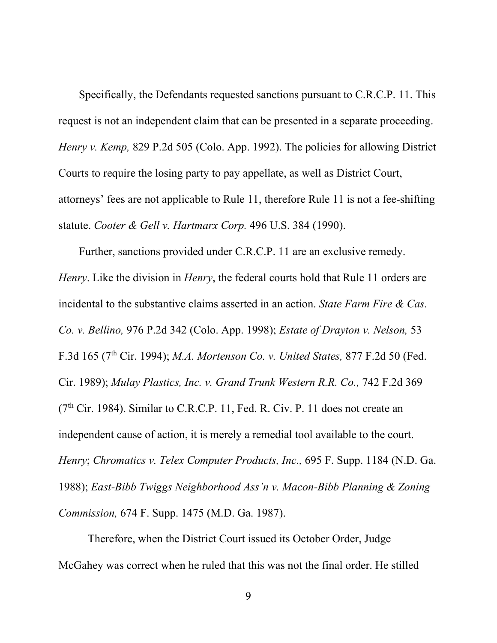Specifically, the Defendants requested sanctions pursuant to C.R.C.P. 11. This request is not an independent claim that can be presented in a separate proceeding. *Henry v. Kemp,* 829 P.2d 505 (Colo. App. 1992). The policies for allowing District Courts to require the losing party to pay appellate, as well as District Court, attorneys' fees are not applicable to Rule 11, therefore Rule 11 is not a fee-shifting statute. *Cooter & Gell v. Hartmarx Corp.* 496 U.S. 384 (1990).

Further, sanctions provided under C.R.C.P. 11 are an exclusive remedy. *Henry*. Like the division in *Henry*, the federal courts hold that Rule 11 orders are incidental to the substantive claims asserted in an action. *State Farm Fire & Cas. Co. v. Bellino,* 976 P.2d 342 (Colo. App. 1998); *Estate of Drayton v. Nelson,* 53 F.3d 165 (7th Cir. 1994); *M.A. Mortenson Co. v. United States,* 877 F.2d 50 (Fed. Cir. 1989); *Mulay Plastics, Inc. v. Grand Trunk Western R.R. Co.,* 742 F.2d 369  $(7<sup>th</sup> Cir. 1984)$ . Similar to C.R.C.P. 11, Fed. R. Civ. P. 11 does not create an independent cause of action, it is merely a remedial tool available to the court. *Henry*; *Chromatics v. Telex Computer Products, Inc.,* 695 F. Supp. 1184 (N.D. Ga. 1988); *East-Bibb Twiggs Neighborhood Ass'n v. Macon-Bibb Planning & Zoning Commission,* 674 F. Supp. 1475 (M.D. Ga. 1987).

Therefore, when the District Court issued its October Order, Judge McGahey was correct when he ruled that this was not the final order. He stilled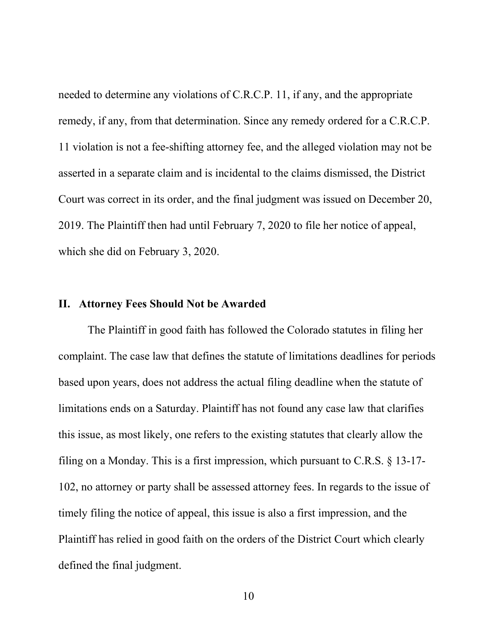needed to determine any violations of C.R.C.P. 11, if any, and the appropriate remedy, if any, from that determination. Since any remedy ordered for a C.R.C.P. 11 violation is not a fee-shifting attorney fee, and the alleged violation may not be asserted in a separate claim and is incidental to the claims dismissed, the District Court was correct in its order, and the final judgment was issued on December 20, 2019. The Plaintiff then had until February 7, 2020 to file her notice of appeal, which she did on February 3, 2020.

#### **II. Attorney Fees Should Not be Awarded**

The Plaintiff in good faith has followed the Colorado statutes in filing her complaint. The case law that defines the statute of limitations deadlines for periods based upon years, does not address the actual filing deadline when the statute of limitations ends on a Saturday. Plaintiff has not found any case law that clarifies this issue, as most likely, one refers to the existing statutes that clearly allow the filing on a Monday. This is a first impression, which pursuant to C.R.S. § 13-17- 102, no attorney or party shall be assessed attorney fees. In regards to the issue of timely filing the notice of appeal, this issue is also a first impression, and the Plaintiff has relied in good faith on the orders of the District Court which clearly defined the final judgment.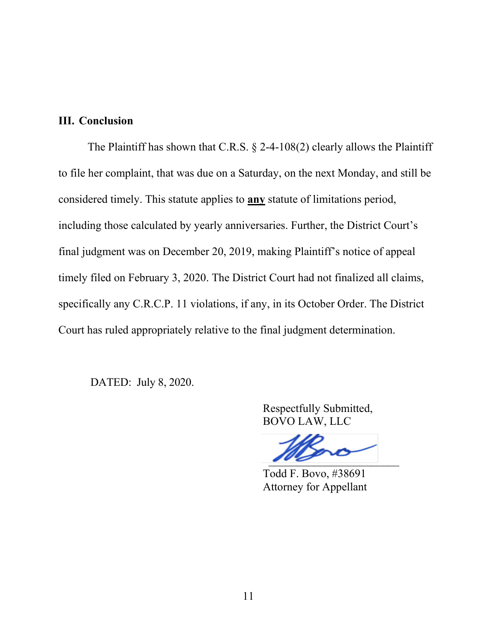### **III. Conclusion**

The Plaintiff has shown that C.R.S.  $\S$  2-4-108(2) clearly allows the Plaintiff to file her complaint, that was due on a Saturday, on the next Monday, and still be considered timely. This statute applies to **any** statute of limitations period, including those calculated by yearly anniversaries. Further, the District Court's final judgment was on December 20, 2019, making Plaintiff's notice of appeal timely filed on February 3, 2020. The District Court had not finalized all claims, specifically any C.R.C.P. 11 violations, if any, in its October Order. The District Court has ruled appropriately relative to the final judgment determination.

DATED: July 8, 2020.

 Respectfully Submitted, BOVO LAW, LLC

 $\frac{1}{100}$ 

 Todd F. Bovo, #38691 Attorney for Appellant